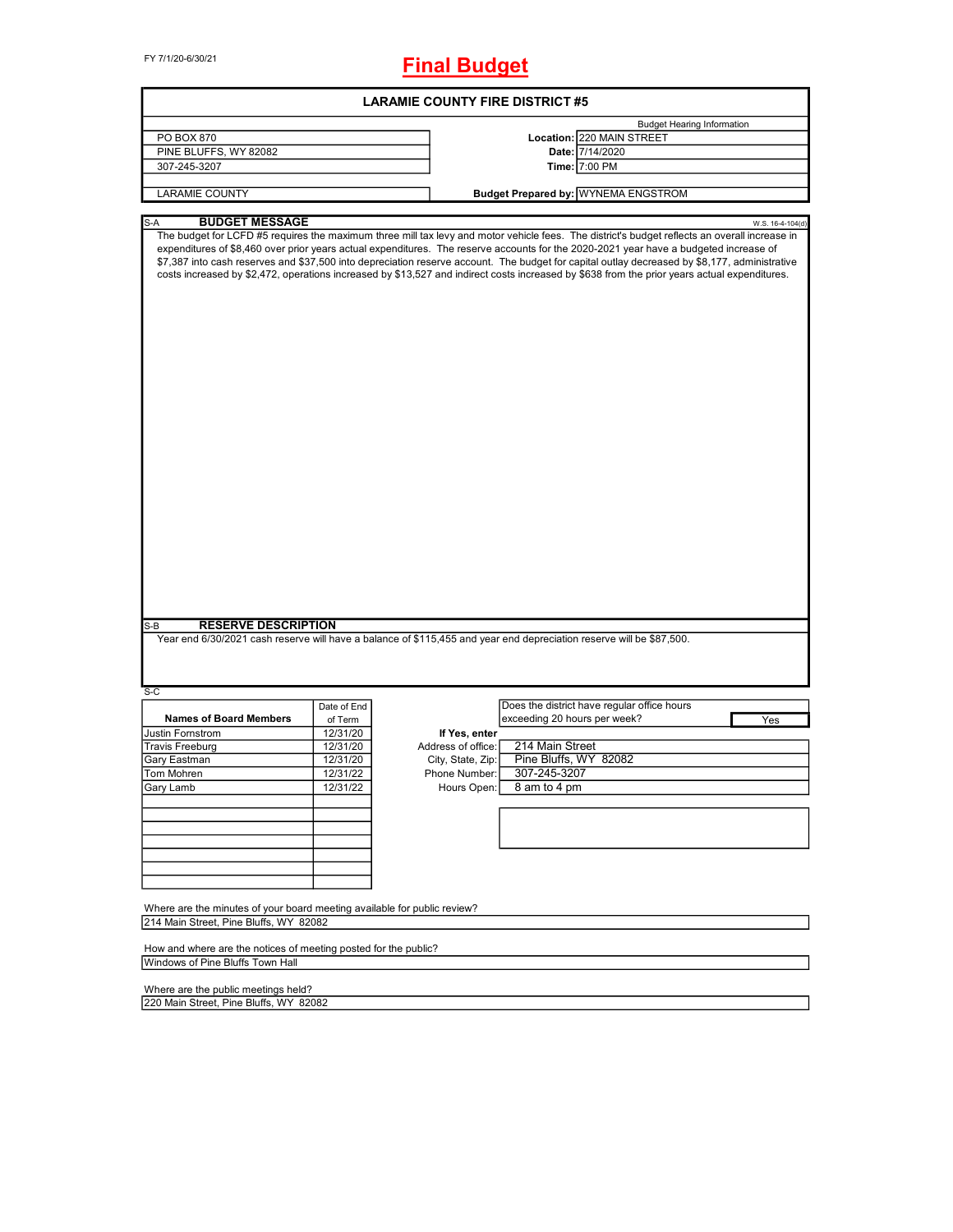FY 7/1/20-6/30/21

# **Final Budget**

| <b>LARAMIE COUNTY FIRE DISTRICT #5</b>                                                                             |             |                    |                                                                                                                                                                                                                                                                                                                                                                                                                                                                                                                                                                                         |  |  |
|--------------------------------------------------------------------------------------------------------------------|-------------|--------------------|-----------------------------------------------------------------------------------------------------------------------------------------------------------------------------------------------------------------------------------------------------------------------------------------------------------------------------------------------------------------------------------------------------------------------------------------------------------------------------------------------------------------------------------------------------------------------------------------|--|--|
|                                                                                                                    |             |                    | <b>Budget Hearing Information</b>                                                                                                                                                                                                                                                                                                                                                                                                                                                                                                                                                       |  |  |
| PO BOX 870                                                                                                         |             |                    | Location: 220 MAIN STREET                                                                                                                                                                                                                                                                                                                                                                                                                                                                                                                                                               |  |  |
| PINE BLUFFS, WY 82082                                                                                              |             |                    | Date: 7/14/2020                                                                                                                                                                                                                                                                                                                                                                                                                                                                                                                                                                         |  |  |
| 307-245-3207                                                                                                       |             |                    | Time: 7:00 PM                                                                                                                                                                                                                                                                                                                                                                                                                                                                                                                                                                           |  |  |
| <b>LARAMIE COUNTY</b>                                                                                              |             |                    | <b>Budget Prepared by: WYNEMA ENGSTROM</b>                                                                                                                                                                                                                                                                                                                                                                                                                                                                                                                                              |  |  |
|                                                                                                                    |             |                    |                                                                                                                                                                                                                                                                                                                                                                                                                                                                                                                                                                                         |  |  |
| <b>BUDGET MESSAGE</b><br>S-A                                                                                       |             |                    | W.S. 16-4-104(d)                                                                                                                                                                                                                                                                                                                                                                                                                                                                                                                                                                        |  |  |
|                                                                                                                    |             |                    | The budget for LCFD #5 requires the maximum three mill tax levy and motor vehicle fees. The district's budget reflects an overall increase in<br>expenditures of \$8,460 over prior years actual expenditures. The reserve accounts for the 2020-2021 year have a budgeted increase of<br>\$7,387 into cash reserves and \$37,500 into depreciation reserve account. The budget for capital outlay decreased by \$8,177, administrative<br>costs increased by \$2,472, operations increased by \$13,527 and indirect costs increased by \$638 from the prior years actual expenditures. |  |  |
|                                                                                                                    |             |                    |                                                                                                                                                                                                                                                                                                                                                                                                                                                                                                                                                                                         |  |  |
| <b>RESERVE DESCRIPTION</b><br>S-B<br>$S-C$                                                                         |             |                    | Year end 6/30/2021 cash reserve will have a balance of \$115,455 and year end depreciation reserve will be \$87,500.                                                                                                                                                                                                                                                                                                                                                                                                                                                                    |  |  |
|                                                                                                                    | Date of End |                    | Does the district have regular office hours                                                                                                                                                                                                                                                                                                                                                                                                                                                                                                                                             |  |  |
| <b>Names of Board Members</b>                                                                                      | of Term     |                    | exceeding 20 hours per week?<br>Yes                                                                                                                                                                                                                                                                                                                                                                                                                                                                                                                                                     |  |  |
| Justin Fornstrom                                                                                                   | 12/31/20    | If Yes, enter      |                                                                                                                                                                                                                                                                                                                                                                                                                                                                                                                                                                                         |  |  |
| <b>Travis Freeburg</b>                                                                                             | 12/31/20    | Address of office: | 214 Main Street                                                                                                                                                                                                                                                                                                                                                                                                                                                                                                                                                                         |  |  |
| Gary Eastman                                                                                                       | 12/31/20    | City, State, Zip:  | Pine Bluffs, WY 82082                                                                                                                                                                                                                                                                                                                                                                                                                                                                                                                                                                   |  |  |
| Tom Mohren                                                                                                         | 12/31/22    | Phone Number:      | 307-245-3207                                                                                                                                                                                                                                                                                                                                                                                                                                                                                                                                                                            |  |  |
| Gary Lamb                                                                                                          | 12/31/22    | Hours Open:        | 8 am to 4 pm                                                                                                                                                                                                                                                                                                                                                                                                                                                                                                                                                                            |  |  |
|                                                                                                                    |             |                    |                                                                                                                                                                                                                                                                                                                                                                                                                                                                                                                                                                                         |  |  |
|                                                                                                                    |             |                    |                                                                                                                                                                                                                                                                                                                                                                                                                                                                                                                                                                                         |  |  |
|                                                                                                                    |             |                    |                                                                                                                                                                                                                                                                                                                                                                                                                                                                                                                                                                                         |  |  |
|                                                                                                                    |             |                    |                                                                                                                                                                                                                                                                                                                                                                                                                                                                                                                                                                                         |  |  |
|                                                                                                                    |             |                    |                                                                                                                                                                                                                                                                                                                                                                                                                                                                                                                                                                                         |  |  |
| Where are the minutes of your board meeting available for public review?<br>214 Main Street, Pine Bluffs, WY 82082 |             |                    |                                                                                                                                                                                                                                                                                                                                                                                                                                                                                                                                                                                         |  |  |
| How and where are the notices of meeting posted for the public?<br>Windows of Pine Bluffs Town Hall                |             |                    |                                                                                                                                                                                                                                                                                                                                                                                                                                                                                                                                                                                         |  |  |
| Where are the public meetings held?<br>220 Main Street, Pine Bluffs, WY 82082                                      |             |                    |                                                                                                                                                                                                                                                                                                                                                                                                                                                                                                                                                                                         |  |  |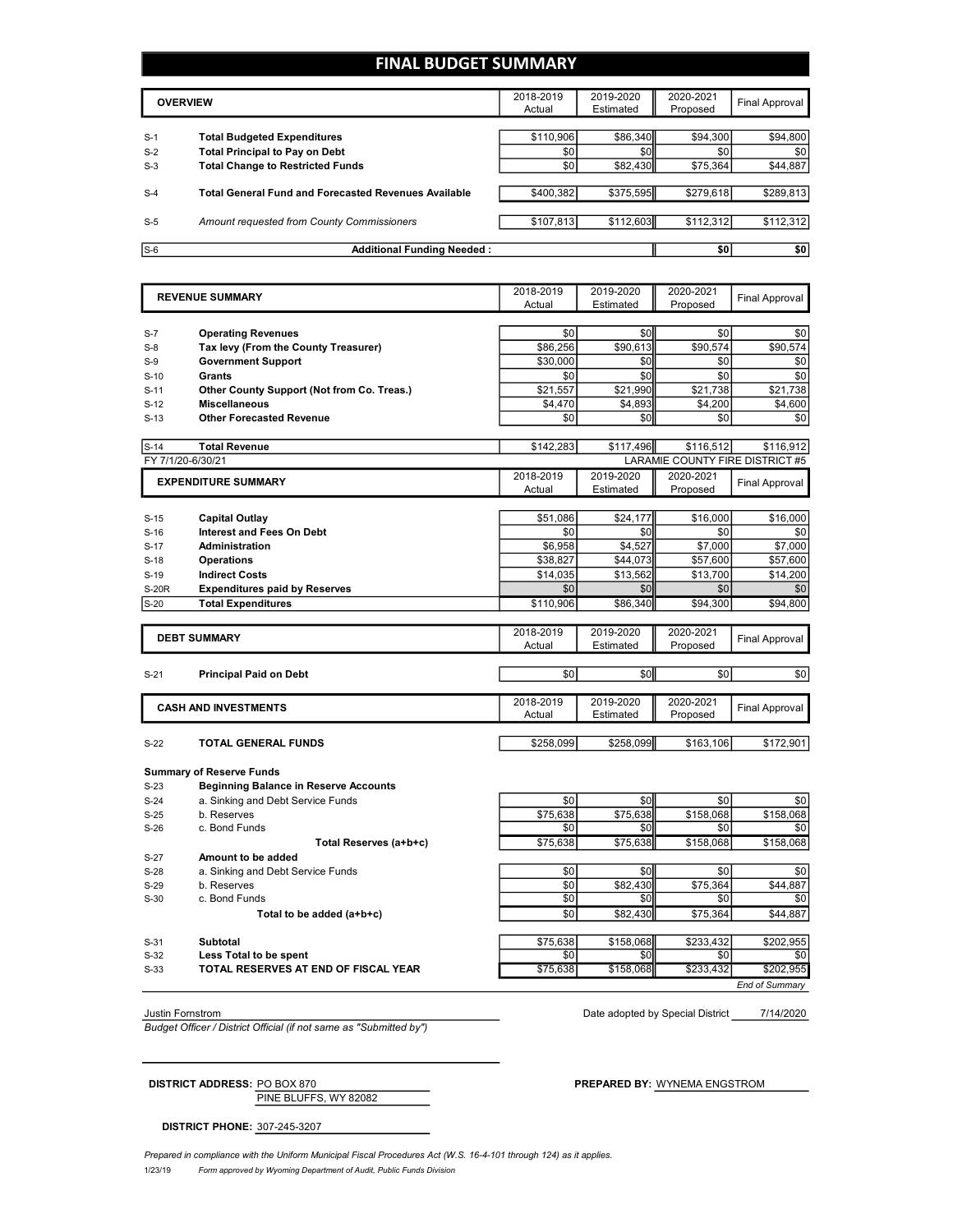### **FINAL BUDGET SUMMARY**

|       | <b>OVERVIEW</b>                                             | 2018-2019<br>Actual | 2019-2020<br>Estimated | 2020-2021<br>Proposed | Final Approval |
|-------|-------------------------------------------------------------|---------------------|------------------------|-----------------------|----------------|
|       |                                                             |                     |                        |                       |                |
| $S-1$ | <b>Total Budgeted Expenditures</b>                          | \$110,906           | \$86,340               | \$94,300              | \$94,800       |
| $S-2$ | <b>Total Principal to Pay on Debt</b>                       | \$0                 | \$0                    | \$0                   | \$0            |
| $S-3$ | <b>Total Change to Restricted Funds</b>                     | \$0                 | \$82,430               | \$75,364              | \$44,887       |
|       |                                                             |                     |                        |                       |                |
| $S-4$ | <b>Total General Fund and Forecasted Revenues Available</b> | \$400.382           | \$375,595              | \$279,618             | \$289,813      |
| $S-5$ | Amount requested from County Commissioners                  | \$107,813           | \$112,603              | \$112,312             | \$112,312      |
| $S-6$ |                                                             |                     |                        |                       |                |
|       | <b>Additional Funding Needed:</b>                           |                     |                        | \$0                   | \$0            |

|                   | <b>REVENUE SUMMARY</b>                       | 2018-2019<br>Actual | 2019-2020<br>Estimated | 2020-2021<br>Proposed | <b>Final Approval</b>           |
|-------------------|----------------------------------------------|---------------------|------------------------|-----------------------|---------------------------------|
|                   |                                              |                     |                        |                       |                                 |
| $S-7$             | <b>Operating Revenues</b>                    | \$0                 | \$0                    | \$0                   | \$0                             |
| $S-8$             | Tax levy (From the County Treasurer)         | \$86,256            | \$90,613               | \$90,574              | \$90,574                        |
| $S-9$             | <b>Government Support</b>                    | \$30.000            | \$0                    | \$0                   | \$0                             |
| $S-10$            | Grants                                       | \$0                 | \$0                    | \$0                   | \$0                             |
| $S-11$            | Other County Support (Not from Co. Treas.)   | \$21,557            | \$21,990               | \$21,738              | \$21,738                        |
| $S-12$            | <b>Miscellaneous</b>                         | \$4,470             | \$4,893                | \$4,200               | \$4,600                         |
| $S-13$            | <b>Other Forecasted Revenue</b>              | \$0                 | \$0                    | \$0                   | \$0                             |
|                   |                                              |                     |                        |                       |                                 |
| $S-14$            | <b>Total Revenue</b>                         | \$142,283           | \$117.496              | \$116.512             | \$116.912                       |
| FY 7/1/20-6/30/21 |                                              |                     |                        |                       | LARAMIE COUNTY FIRE DISTRICT #5 |
|                   | <b>EXPENDITURE SUMMARY</b>                   | 2018-2019           | 2019-2020              | 2020-2021             |                                 |
|                   |                                              | Actual              | Estimated              | Proposed              | Final Approval                  |
|                   |                                              |                     |                        |                       |                                 |
| $S-15$            | <b>Capital Outlay</b>                        | \$51,086            | \$24.177               | \$16,000              | \$16,000                        |
| $S-16$            | <b>Interest and Fees On Debt</b>             | \$0                 | \$0                    | \$0                   | \$0                             |
| $S-17$            | <b>Administration</b>                        | \$6,958             | \$4,527                | \$7,000               | \$7,000                         |
| $S-18$            | <b>Operations</b>                            | \$38,827            | \$44,073               | \$57,600              | \$57,600                        |
| $S-19$            | <b>Indirect Costs</b>                        | \$14,035            | \$13,562               | \$13,700              | \$14,200                        |
| <b>S-20R</b>      | <b>Expenditures paid by Reserves</b>         | \$0                 | \$0                    | \$0                   | \$0                             |
| $S-20$            | <b>Total Expenditures</b>                    | \$110,906           | \$86,340               | \$94,300              | \$94.800                        |
|                   |                                              |                     |                        |                       |                                 |
|                   | <b>DEBT SUMMARY</b>                          | 2018-2019           | 2019-2020              | 2020-2021             | <b>Final Approval</b>           |
|                   |                                              | Actual              | Estimated              | Proposed              |                                 |
|                   |                                              | \$0                 | \$0                    | \$0                   |                                 |
| $S-21$            | <b>Principal Paid on Debt</b>                |                     |                        |                       | \$0                             |
|                   |                                              | 2018-2019           | 2019-2020              | 2020-2021             |                                 |
|                   | <b>CASH AND INVESTMENTS</b>                  | Actual              | Estimated              | Proposed              | <b>Final Approval</b>           |
|                   |                                              |                     |                        |                       |                                 |
| $S-22$            | TOTAL GENERAL FUNDS                          | \$258,099           | \$258,099              | \$163,106             | \$172,901                       |
|                   |                                              |                     |                        |                       |                                 |
|                   | <b>Summary of Reserve Funds</b>              |                     |                        |                       |                                 |
| $S-23$            | <b>Beginning Balance in Reserve Accounts</b> |                     |                        |                       |                                 |
| $S-24$            | a. Sinking and Debt Service Funds            | \$0                 | \$0                    | \$0                   | \$0                             |
| $S-25$            | b. Reserves                                  | \$75,638            | \$75,638               | \$158,068             | \$158,068                       |
| $S-26$            | c. Bond Funds                                | \$0                 | \$0                    | \$0                   | \$0                             |
|                   | Total Reserves (a+b+c)                       | \$75,638            | \$75,638               | \$158,068             | $\overline{$}158,068$           |
| $S-27$            | Amount to be added                           |                     |                        |                       |                                 |
| $S-28$            | a. Sinking and Debt Service Funds            | \$0                 | \$0                    | \$0                   | \$0                             |
| $S-29$            | b. Reserves                                  | \$0                 | \$82,430               | \$75,364              | \$44,887                        |
| $S-30$            | c. Bond Funds                                | \$0                 | \$0                    | \$0                   | \$0                             |
|                   | Total to be added (a+b+c)                    | \$0                 | \$82,430               | \$75,364              | \$44,887                        |
| $S-31$            | <b>Subtotal</b>                              | \$75,638            | \$158,068              | \$233,432             | \$202,955                       |
| $S-32$            | Less Total to be spent                       | \$0                 | \$0                    | \$0                   | \$0                             |
| $S-33$            | TOTAL RESERVES AT END OF FISCAL YEAR         | \$75,638            | \$158,068              | \$233,432             | \$202,955                       |
|                   |                                              |                     |                        |                       |                                 |

*Budget Officer / District Official (if not same as "Submitted by")*

7/14/2020 Justin Fornstrom Date adopted by Special District

*End of Summary*

| <b>DISTRICT ADDRESS: PO BOX 870</b> |                       |
|-------------------------------------|-----------------------|
|                                     | PINE BLUFFS, WY 82082 |

**DISTRICT ADDRESS:** PO BOX 870 **PREPARED BY:** WYNEMA ENGSTROM

**DISTRICT PHONE:** 307-245-3207

1/23/19 *Form approved by Wyoming Department of Audit, Public Funds Division Prepared in compliance with the Uniform Municipal Fiscal Procedures Act (W.S. 16-4-101 through 124) as it applies.*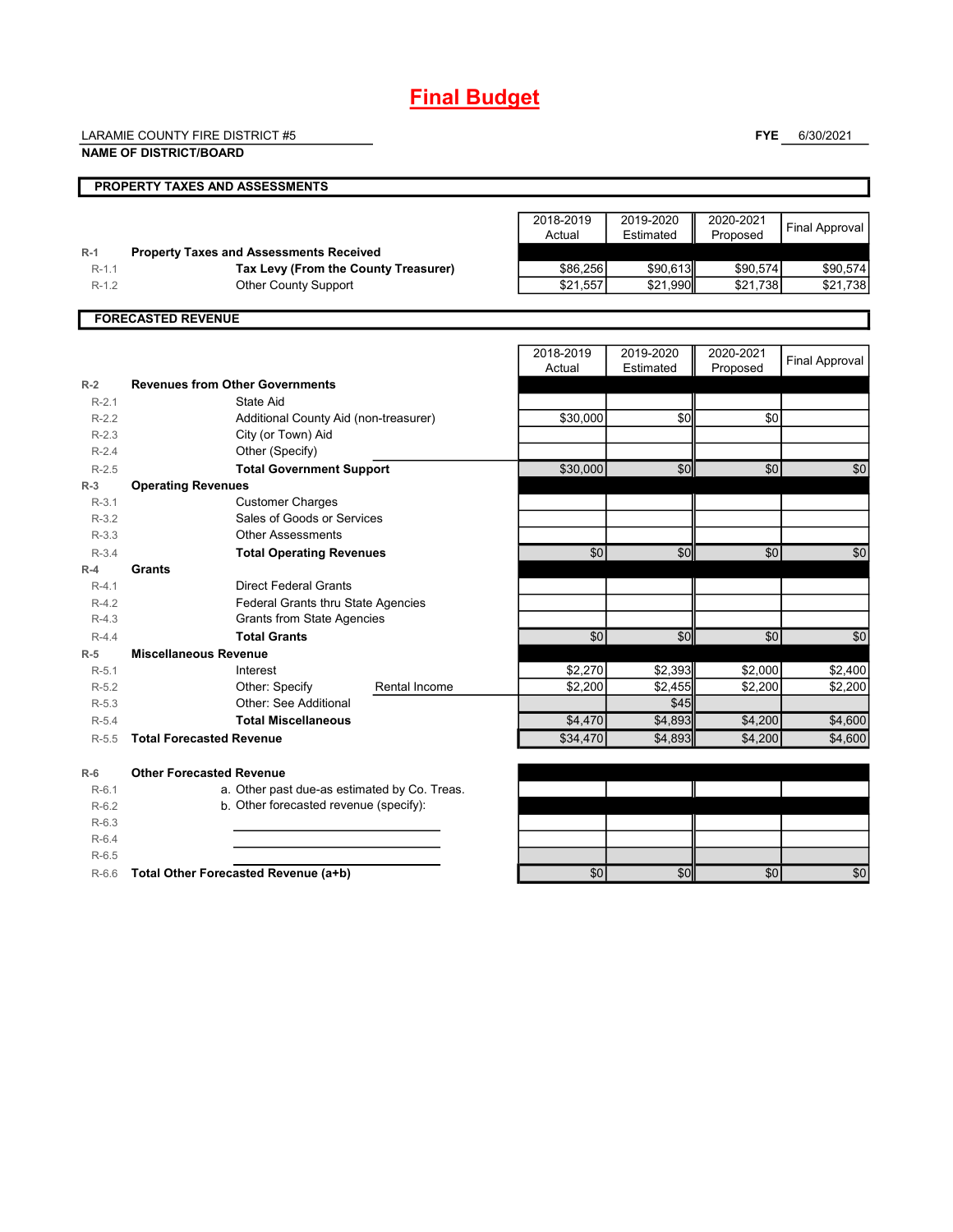## **Final Budget**

LARAMIE COUNTY FIRE DISTRICT #5

R-6.5

**FYE** 6/30/2021

|                  | <b>NAME OF DISTRICT/BOARD</b>                        |               |                     |                        |                       | $-0.001$              |
|------------------|------------------------------------------------------|---------------|---------------------|------------------------|-----------------------|-----------------------|
|                  | PROPERTY TAXES AND ASSESSMENTS                       |               |                     |                        |                       |                       |
|                  |                                                      |               | 2018-2019<br>Actual | 2019-2020<br>Estimated | 2020-2021<br>Proposed | <b>Final Approval</b> |
| $R-1$            | <b>Property Taxes and Assessments Received</b>       |               |                     |                        |                       |                       |
| $R-1.1$          | Tax Levy (From the County Treasurer)                 |               | \$86,256            | \$90,613               | \$90,574              | \$90,574              |
| $R-1.2$          | <b>Other County Support</b>                          |               | \$21,557            | \$21,990               | \$21,738              | \$21,738              |
|                  | <b>FORECASTED REVENUE</b>                            |               |                     |                        |                       |                       |
|                  |                                                      |               | 2018-2019<br>Actual | 2019-2020<br>Estimated | 2020-2021<br>Proposed | <b>Final Approval</b> |
| $R-2$            | <b>Revenues from Other Governments</b>               |               |                     |                        |                       |                       |
| $R-2.1$          | State Aid                                            |               |                     |                        |                       |                       |
| $R-2.2$          | Additional County Aid (non-treasurer)                |               | \$30,000            | \$0                    | \$0                   |                       |
| $R-2.3$          | City (or Town) Aid                                   |               |                     |                        |                       |                       |
| $R-2.4$          | Other (Specify)                                      |               |                     |                        |                       |                       |
| $R-2.5$          | <b>Total Government Support</b>                      |               | \$30,000            | \$0                    | \$0                   | \$0                   |
| $R-3$<br>$R-3.1$ | <b>Operating Revenues</b><br><b>Customer Charges</b> |               |                     |                        |                       |                       |
| $R-3.2$          | Sales of Goods or Services                           |               |                     |                        |                       |                       |
| $R-3.3$          | <b>Other Assessments</b>                             |               |                     |                        |                       |                       |
| $R-3.4$          | <b>Total Operating Revenues</b>                      |               | \$0                 | \$0                    | \$0                   | \$0                   |
| $R-4$            | Grants                                               |               |                     |                        |                       |                       |
| $R-4.1$          | <b>Direct Federal Grants</b>                         |               |                     |                        |                       |                       |
| $R-4.2$          | Federal Grants thru State Agencies                   |               |                     |                        |                       |                       |
| $R-4.3$          | <b>Grants from State Agencies</b>                    |               |                     |                        |                       |                       |
| $R-4.4$          | <b>Total Grants</b>                                  |               | $\overline{50}$     | \$0                    | $\sqrt{6}$            | $\overline{50}$       |
| $R-5$            | <b>Miscellaneous Revenue</b>                         |               |                     |                        |                       |                       |
| $R-5.1$          | Interest                                             |               | \$2,270             | \$2,393                | \$2,000               | \$2,400               |
| $R-5.2$          | Other: Specify                                       | Rental Income | \$2,200             | \$2,455                | \$2,200               | \$2,200               |
| $R-5.3$          | Other: See Additional                                |               |                     | \$45                   |                       |                       |
| $R-5.4$          | <b>Total Miscellaneous</b>                           |               | \$4,470             | \$4,893                | \$4,200               | \$4,600               |
| $R-5.5$          | <b>Total Forecasted Revenue</b>                      |               | \$34,470            | \$4,893                | \$4,200               | \$4,600               |
| $R-6$            | <b>Other Forecasted Revenue</b>                      |               |                     |                        |                       |                       |
| $R-6.1$          | a. Other past due-as estimated by Co. Treas.         |               |                     |                        |                       |                       |
| $R-6.2$          | b. Other forecasted revenue (specify):               |               |                     |                        |                       |                       |
| $R-6.3$          |                                                      |               |                     |                        |                       |                       |
| $R-6.4$          |                                                      |               |                     |                        |                       |                       |

R-6.6 **Total Other Forecasted Revenue (a+b)** \$0 \$0 \$0 \$0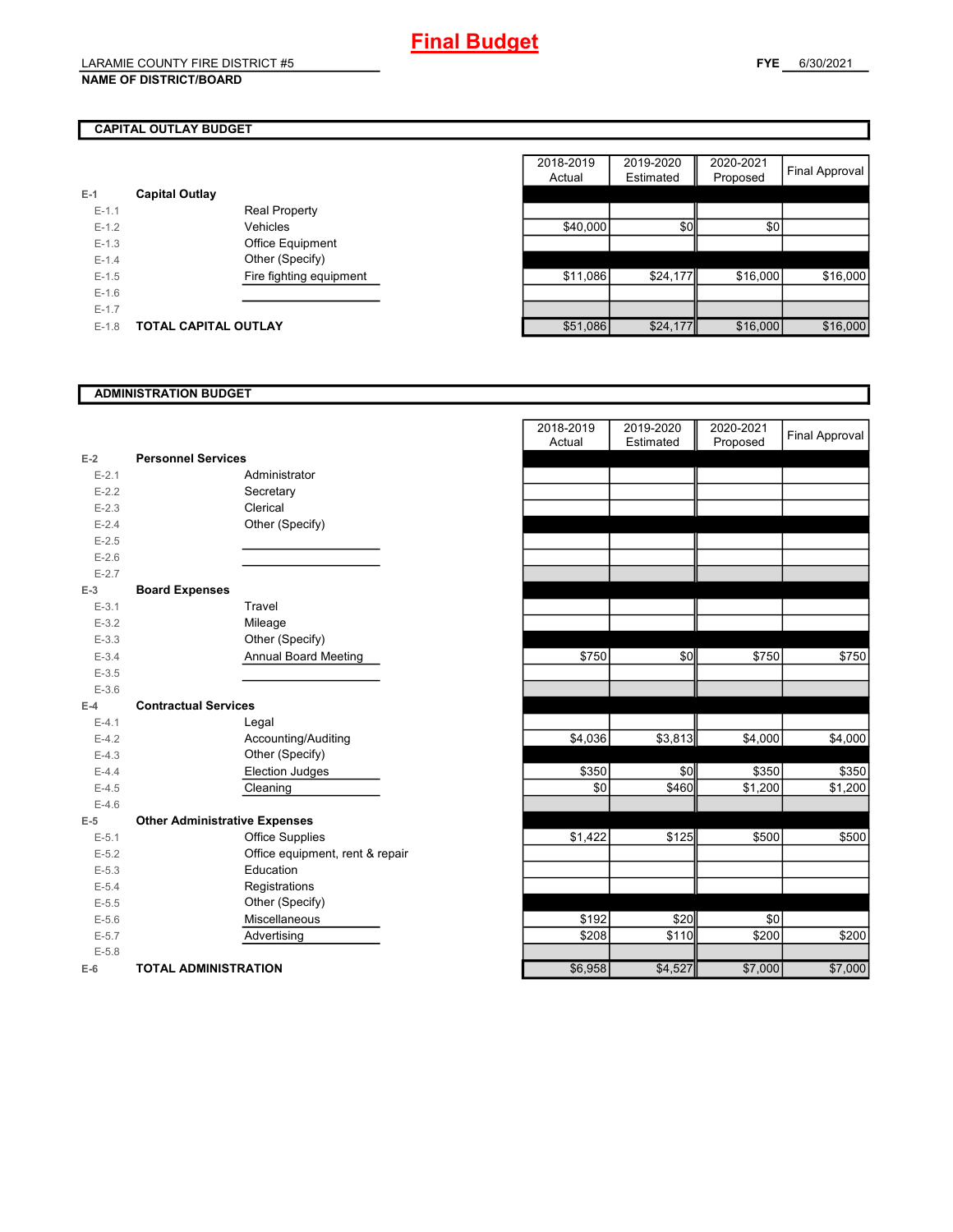### **CAPITAL OUTLAY BUDGET**

| E-1       | <b>Capital Outlay</b> |                         |
|-----------|-----------------------|-------------------------|
| $E - 1.1$ |                       | <b>Real Property</b>    |
| $F-12$    |                       | Vehicles                |
| $F-1.3$   |                       | <b>Office Equipment</b> |
| $F - 1.4$ |                       | Other (Specify)         |
| $F-1.5$   |                       | Fire fighting equipment |
| $F-16$    |                       |                         |
| $F-17$    |                       |                         |
| $F-1.8$   | TOTAL CAPITAL OUTLAY  |                         |

|         |                             |                         | 2018-2019 | 2019-2020 | 2020-2021 |                |
|---------|-----------------------------|-------------------------|-----------|-----------|-----------|----------------|
|         |                             |                         | Actual    | Estimated | Proposed  | Final Approval |
|         | <b>Capital Outlay</b>       |                         |           |           |           |                |
| $E-1.1$ |                             | <b>Real Property</b>    |           |           |           |                |
| $E-1.2$ |                             | Vehicles                | \$40,000  | \$0       | \$0       |                |
| $E-1.3$ |                             | Office Equipment        |           |           |           |                |
| $E-1.4$ |                             | Other (Specify)         |           |           |           |                |
| $E-1.5$ |                             | Fire fighting equipment | \$11,086  | \$24,177  | \$16,000  | \$16,000       |
| $E-1.6$ |                             |                         |           |           |           |                |
| $E-1.7$ |                             |                         |           |           |           |                |
| $E-1.8$ | <b>TOTAL CAPITAL OUTLAY</b> |                         | \$51,086  | \$24,177  | \$16,000  | \$16,000       |

### **ADMINISTRATION BUDGET**

|           |                                      |                                 | Actual  | Estimated | Proposed |
|-----------|--------------------------------------|---------------------------------|---------|-----------|----------|
| $E-2$     | <b>Personnel Services</b>            |                                 |         |           |          |
| $E - 2.1$ |                                      | Administrator                   |         |           |          |
| $E-2.2$   |                                      | Secretary                       |         |           |          |
| $E-2.3$   |                                      | Clerical                        |         |           |          |
| $E-2.4$   |                                      | Other (Specify)                 |         |           |          |
| $E-2.5$   |                                      |                                 |         |           |          |
| $E-2.6$   |                                      |                                 |         |           |          |
| $E - 2.7$ |                                      |                                 |         |           |          |
| $E-3$     | <b>Board Expenses</b>                |                                 |         |           |          |
| $E - 3.1$ |                                      | Travel                          |         |           |          |
| $E - 3.2$ |                                      | Mileage                         |         |           |          |
| $E-3.3$   |                                      | Other (Specify)                 |         |           |          |
| $E - 3.4$ |                                      | <b>Annual Board Meeting</b>     | \$750   | \$0       | \$750    |
| $E-3.5$   |                                      |                                 |         |           |          |
| $E - 3.6$ |                                      |                                 |         |           |          |
| $E-4$     | <b>Contractual Services</b>          |                                 |         |           |          |
| $E-4.1$   |                                      | Legal                           |         |           |          |
| $E-4.2$   |                                      | Accounting/Auditing             | \$4,036 | \$3,813   | \$4,000  |
| $E-4.3$   |                                      | Other (Specify)                 |         |           |          |
| $E-4.4$   |                                      | <b>Election Judges</b>          | \$350   | \$0       | \$350    |
| $E-4.5$   |                                      | Cleaning                        | \$0     | \$460     | \$1,200  |
| $E-4.6$   |                                      |                                 |         |           |          |
| $E-5$     | <b>Other Administrative Expenses</b> |                                 |         |           |          |
| $E - 5.1$ |                                      | <b>Office Supplies</b>          | \$1,422 | \$125     | \$500    |
| $E-5.2$   |                                      | Office equipment, rent & repair |         |           |          |
| $E-5.3$   |                                      | Education                       |         |           |          |
| $E-5.4$   |                                      | Registrations                   |         |           |          |
| $E-5.5$   |                                      | Other (Specify)                 |         |           |          |
| $E - 5.6$ |                                      | Miscellaneous                   | \$192   | \$20      | \$0      |
| $E-5.7$   |                                      | Advertising                     | \$208   | \$110     | \$200    |
| $E - 5.8$ |                                      |                                 |         |           |          |
| $E-6$     | <b>TOTAL ADMINISTRATION</b>          |                                 | \$6,958 | \$4,527   | \$7,000  |

|                          |                                      | 2018-2019<br>Actual | 2019-2020<br>Estimated | 2020-2021<br>Proposed | <b>Final Approval</b> |
|--------------------------|--------------------------------------|---------------------|------------------------|-----------------------|-----------------------|
| 2                        | <b>Personnel Services</b>            |                     |                        |                       |                       |
| $E - 2.1$                | Administrator                        |                     |                        |                       |                       |
| $E - 2.2$                | Secretary                            |                     |                        |                       |                       |
| $E - 2.3$                | Clerical                             |                     |                        |                       |                       |
| $E - 2.4$                | Other (Specify)                      |                     |                        |                       |                       |
| $E-2.5$                  |                                      |                     |                        |                       |                       |
| $E - 2.6$                |                                      |                     |                        |                       |                       |
| $E - 2.7$                |                                      |                     |                        |                       |                       |
| $\overline{\phantom{0}}$ | <b>Board Expenses</b>                |                     |                        |                       |                       |
| $E - 3.1$                | Travel                               |                     |                        |                       |                       |
| $E - 3.2$                | Mileage                              |                     |                        |                       |                       |
| $E - 3.3$                | Other (Specify)                      |                     |                        |                       |                       |
| $E - 3.4$                | <b>Annual Board Meeting</b>          | \$750               | \$0                    | \$750                 | \$750                 |
| $E-3.5$                  |                                      |                     |                        |                       |                       |
| $E - 3.6$                |                                      |                     |                        |                       |                       |
| ı.                       | <b>Contractual Services</b>          |                     |                        |                       |                       |
| $E - 4.1$                | Legal                                |                     |                        |                       |                       |
| $E-4.2$                  | Accounting/Auditing                  | \$4,036             | \$3,813                | \$4,000               | \$4,000               |
| $E - 4.3$                | Other (Specify)                      |                     |                        |                       |                       |
| $E - 4.4$                | Election Judges                      | \$350               | \$0                    | \$350                 | \$350                 |
| $E-4.5$                  | Cleaning                             | \$0                 | \$460                  | \$1,200               | \$1,200               |
| $E - 4.6$                |                                      |                     |                        |                       |                       |
| 5                        | <b>Other Administrative Expenses</b> |                     |                        |                       |                       |
| $E - 5.1$                | <b>Office Supplies</b>               | \$1,422             | \$125                  | \$500                 | \$500                 |
| $E - 5.2$                | Office equipment, rent & repair      |                     |                        |                       |                       |
| $E - 5.3$                | Education                            |                     |                        |                       |                       |
| $E - 5.4$                | Registrations                        |                     |                        |                       |                       |
| $E - 5.5$                | Other (Specify)                      |                     |                        |                       |                       |
| $E - 5.6$                | Miscellaneous                        | \$192               | \$20                   | \$0                   |                       |
| $E - 5.7$                | Advertising                          | \$208               | \$110                  | \$200                 | \$200                 |
| $E - 5.8$                |                                      |                     |                        |                       |                       |
| ŝ                        | <b>TOTAL ADMINISTRATION</b>          | \$6,958             | \$4,527                | \$7,000               | \$7,000               |
|                          |                                      |                     |                        |                       |                       |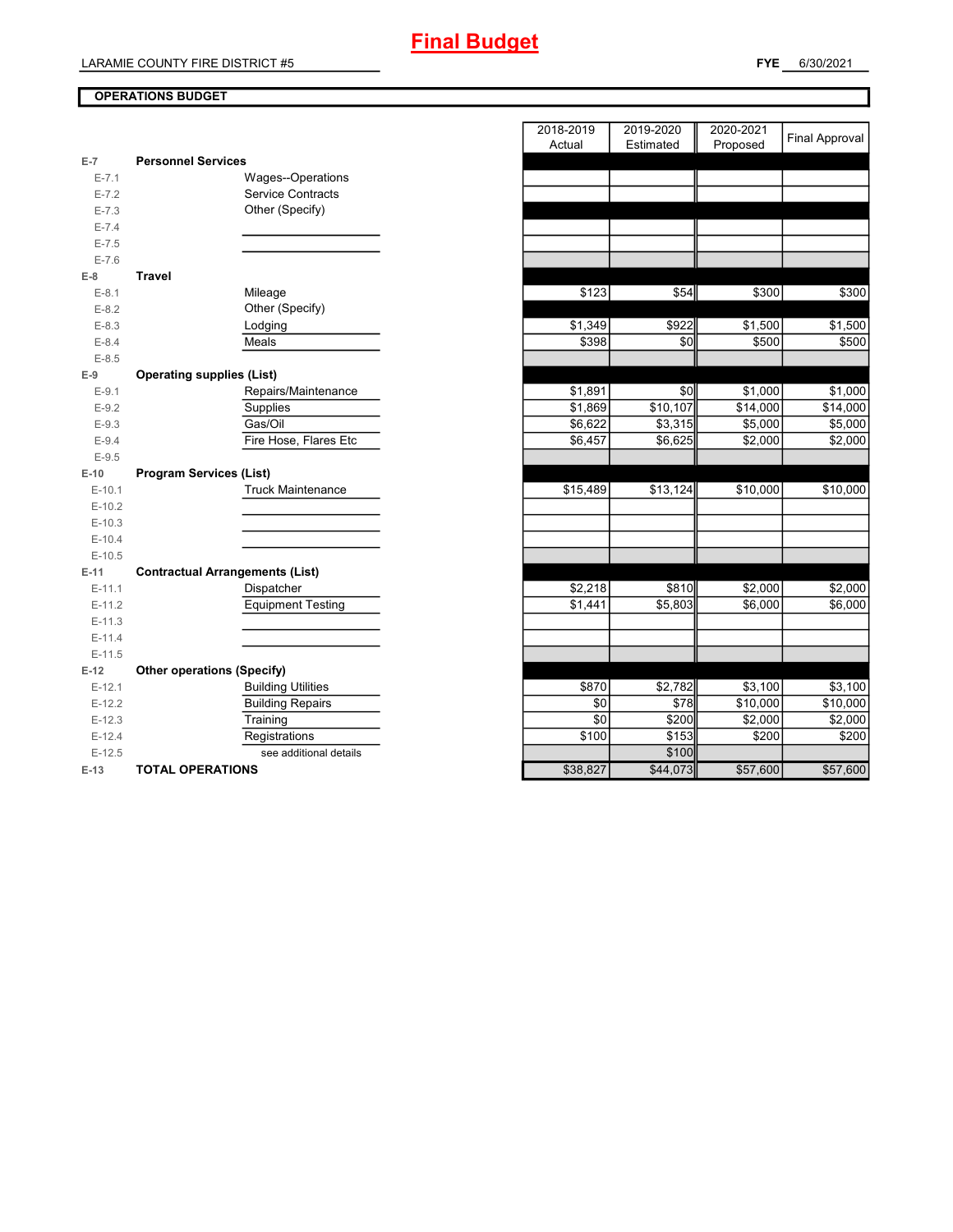### **OPERATIONS BUDGET**

| $E-7$     | <b>Personnel Services</b>              |          |          |          |          |
|-----------|----------------------------------------|----------|----------|----------|----------|
| $E - 7.1$ | Wages--Operations                      |          |          |          |          |
| $E - 7.2$ | <b>Service Contracts</b>               |          |          |          |          |
| $E - 7.3$ | Other (Specify)                        |          |          |          |          |
| $E - 7.4$ |                                        |          |          |          |          |
| $E - 7.5$ |                                        |          |          |          |          |
| $E - 7.6$ |                                        |          |          |          |          |
| $E-8$     | <b>Travel</b>                          |          |          |          |          |
| $E-8.1$   | Mileage                                | \$123    | \$54     | \$300    | \$300    |
| $E-8.2$   | Other (Specify)                        |          |          |          |          |
| $E-8.3$   | Lodging                                | \$1,349  | \$922    | \$1,500  | \$1,500  |
| $E-8.4$   | Meals                                  | \$398    | \$0      | \$500    | \$500    |
| $E - 8.5$ |                                        |          |          |          |          |
| $E-9$     | <b>Operating supplies (List)</b>       |          |          |          |          |
| $E-9.1$   | Repairs/Maintenance                    | \$1,891  | \$0      | \$1,000  | \$1,000  |
| $E-9.2$   | Supplies                               | \$1,869  | \$10,107 | \$14,000 | \$14,000 |
| $E-9.3$   | Gas/Oil                                | \$6,622  | \$3,315  | \$5,000  | \$5,000  |
| $E-9.4$   | Fire Hose, Flares Etc                  | \$6,457  | \$6,625  | \$2,000  | \$2,000  |
| $E-9.5$   |                                        |          |          |          |          |
| $E-10$    | <b>Program Services (List)</b>         |          |          |          |          |
| $E-10.1$  | <b>Truck Maintenance</b>               | \$15,489 | \$13,124 | \$10,000 | \$10,000 |
| $E-10.2$  |                                        |          |          |          |          |
| $E-10.3$  |                                        |          |          |          |          |
| $E-10.4$  |                                        |          |          |          |          |
| $E-10.5$  |                                        |          |          |          |          |
| $E-11$    | <b>Contractual Arrangements (List)</b> |          |          |          |          |
| $E-11.1$  | Dispatcher                             | \$2,218  | \$810    | \$2,000  | \$2,000  |
| $E-11.2$  | <b>Equipment Testing</b>               | \$1,441  | \$5,803  | \$6,000  | \$6,000  |
| $E-11.3$  |                                        |          |          |          |          |
| $E-11.4$  |                                        |          |          |          |          |
| $E-11.5$  |                                        |          |          |          |          |
| $E-12$    | <b>Other operations (Specify)</b>      |          |          |          |          |
| $E-12.1$  | <b>Building Utilities</b>              | \$870    | \$2,782  | \$3,100  | \$3,100  |
| $E-12.2$  | <b>Building Repairs</b>                | \$0      | \$78     | \$10,000 | \$10,000 |
| $E-12.3$  | Training                               | \$0      | \$200    | \$2,000  | \$2,000  |
| $E-12.4$  | Registrations                          | \$100    | \$153    | \$200    | \$200    |
| $E-12.5$  | see additional details                 |          | \$100    |          |          |
| $E-13$    | <b>TOTAL OPERATIONS</b>                | \$38,827 | \$44,073 | \$57,600 | \$57,600 |

|           |                                        | 2018-2019<br>Actual | 2019-2020<br>Estimated | 2020-2021<br>Proposed | <b>Final Approval</b> |
|-----------|----------------------------------------|---------------------|------------------------|-----------------------|-----------------------|
| 7         | <b>Personnel Services</b>              |                     |                        |                       |                       |
| $E - 7.1$ | <b>Wages--Operations</b>               |                     |                        |                       |                       |
| $E - 7.2$ | <b>Service Contracts</b>               |                     |                        |                       |                       |
| $E - 7.3$ | Other (Specify)                        |                     |                        |                       |                       |
| $E - 7.4$ |                                        |                     |                        |                       |                       |
| $E - 7.5$ |                                        |                     |                        |                       |                       |
| $E - 7.6$ |                                        |                     |                        |                       |                       |
| 8         | Travel                                 |                     |                        |                       |                       |
| $E-8.1$   | Mileage                                | \$123               | \$54                   | \$300                 | \$300                 |
| $E - 8.2$ | Other (Specify)                        |                     |                        |                       |                       |
| $E-8.3$   | Lodging                                | \$1,349             | \$922                  | \$1,500               | \$1,500               |
| $E - 8.4$ | Meals                                  | \$398               | \$0                    | \$500                 | \$500                 |
| $E - 8.5$ |                                        |                     |                        |                       |                       |
| 9         | <b>Operating supplies (List)</b>       |                     |                        |                       |                       |
| $E-9.1$   | Repairs/Maintenance                    | \$1,891             | \$0                    | \$1,000               | \$1,000               |
| $E-9.2$   | Supplies                               | \$1,869             | \$10,107               | \$14,000              | \$14,000              |
| $E - 9.3$ | Gas/Oil                                | \$6,622             | \$3,315                | \$5,000               | \$5,000               |
| $E - 9.4$ | Fire Hose, Flares Etc                  | \$6,457             | \$6,625                | \$2,000               | \$2,000               |
| $E-9.5$   |                                        |                     |                        |                       |                       |
| 10        | <b>Program Services (List)</b>         |                     |                        |                       |                       |
| $E-10.1$  | <b>Truck Maintenance</b>               | \$15,489            | \$13,124               | \$10,000              | \$10,000              |
| $E-10.2$  |                                        |                     |                        |                       |                       |
| $E-10.3$  |                                        |                     |                        |                       |                       |
| $E-10.4$  |                                        |                     |                        |                       |                       |
| $E-10.5$  |                                        |                     |                        |                       |                       |
| 11        | <b>Contractual Arrangements (List)</b> |                     |                        |                       |                       |
| $E-11.1$  | Dispatcher                             | \$2,218             | \$810                  | \$2,000               | \$2,000               |
| $E-11.2$  | <b>Equipment Testing</b>               | \$1,441             | \$5,803                | \$6,000               | \$6,000               |
| $E-11.3$  |                                        |                     |                        |                       |                       |
| $E-11.4$  |                                        |                     |                        |                       |                       |
| $E-11.5$  |                                        |                     |                        |                       |                       |
| 12        | <b>Other operations (Specify)</b>      |                     |                        |                       |                       |
| $E-12.1$  | <b>Building Utilities</b>              | \$870               | \$2,782                | \$3,100               | \$3,100               |
| $E-12.2$  | <b>Building Repairs</b>                | \$0                 | \$78                   | \$10,000              | \$10,000              |
| $E-12.3$  | Training                               | \$0                 | \$200                  | \$2,000               | \$2,000               |
| $E-12.4$  | Registrations                          | \$100               | \$153                  | \$200                 | \$200                 |
| $E-12.5$  | see additional details                 |                     | \$100                  |                       |                       |
| 13        | TOTAL OPERATIONS                       | \$38.827            | \$44,073               | \$5760                | \$5760                |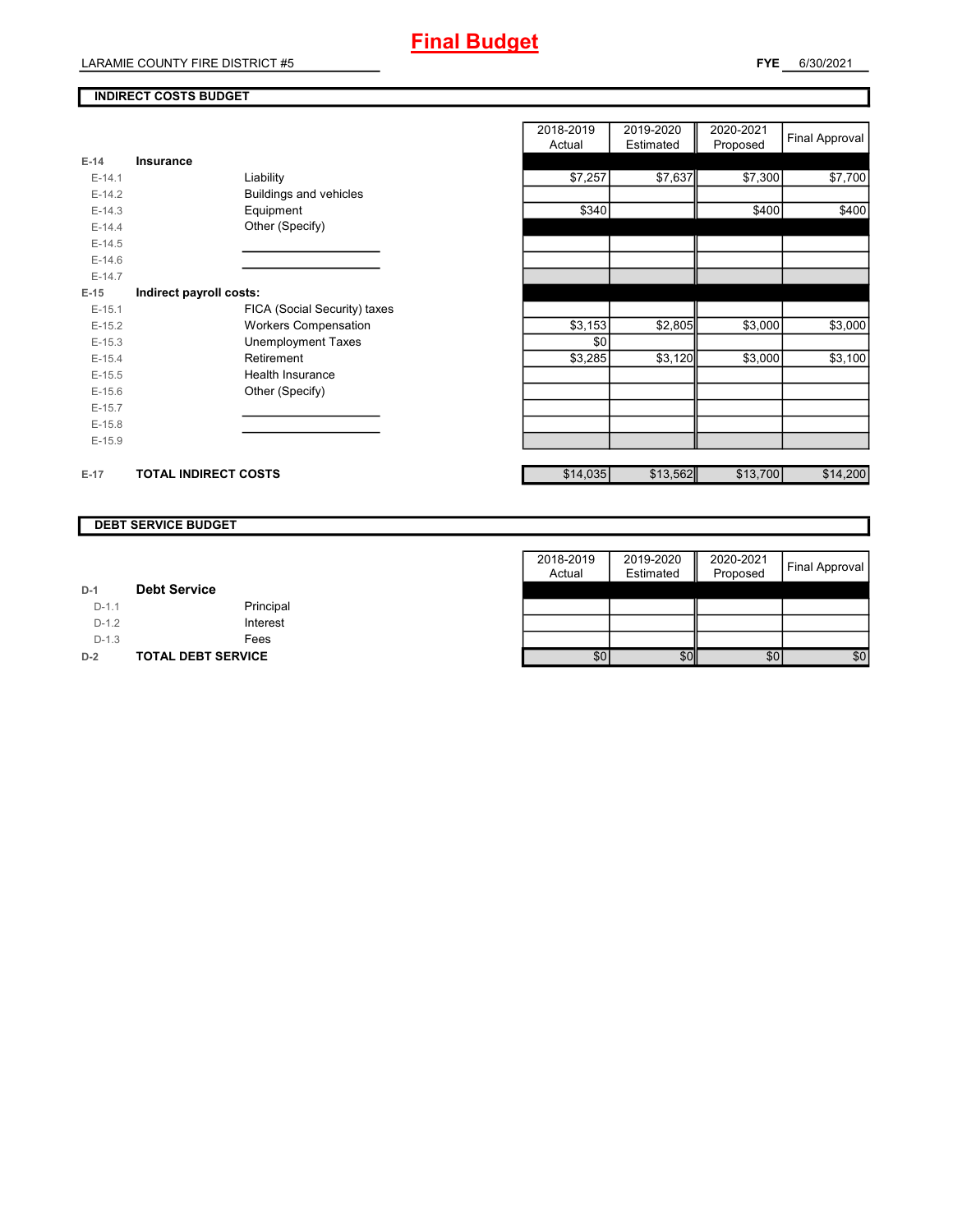### **INDIRECT COSTS BUDGET**

|          |                             |                               | Auuai    |
|----------|-----------------------------|-------------------------------|----------|
| $E-14$   | Insurance                   |                               |          |
| $E-14.1$ |                             | Liability                     | \$7,257  |
| $E-14.2$ |                             | <b>Buildings and vehicles</b> |          |
| $E-14.3$ |                             | Equipment                     | \$340    |
| $E-14.4$ |                             | Other (Specify)               |          |
| $E-14.5$ |                             |                               |          |
| $E-14.6$ |                             |                               |          |
| $E-14.7$ |                             |                               |          |
| $E-15$   | Indirect payroll costs:     |                               |          |
| $E-15.1$ |                             | FICA (Social Security) taxes  |          |
| $E-15.2$ |                             | <b>Workers Compensation</b>   | \$3,153  |
| $E-15.3$ |                             | Unemployment Taxes            | \$0      |
| $E-15.4$ |                             | Retirement                    | \$3,285  |
| $E-15.5$ |                             | <b>Health Insurance</b>       |          |
| $E-15.6$ |                             | Other (Specify)               |          |
| $E-15.7$ |                             |                               |          |
| $E-15.8$ |                             |                               |          |
| $E-15.9$ |                             |                               |          |
|          |                             |                               |          |
| $E-17$   | <b>TOTAL INDIRECT COSTS</b> |                               | \$14,035 |

|          |                             |                              | 2018-2019 | 2019-2020 | 2020-2021 | Final Approval |
|----------|-----------------------------|------------------------------|-----------|-----------|-----------|----------------|
|          |                             |                              | Actual    | Estimated | Proposed  |                |
| 14       | Insurance                   |                              |           |           |           |                |
| $E-14.1$ |                             | Liability                    | \$7,257   | \$7,637   | \$7,300   | \$7,700        |
| $E-14.2$ |                             | Buildings and vehicles       |           |           |           |                |
| $E-14.3$ |                             | Equipment                    | \$340     |           | \$400     | \$400          |
| $E-14.4$ |                             | Other (Specify)              |           |           |           |                |
| $E-14.5$ |                             |                              |           |           |           |                |
| $E-14.6$ |                             |                              |           |           |           |                |
| $E-14.7$ |                             |                              |           |           |           |                |
| 15       | Indirect payroll costs:     |                              |           |           |           |                |
| $E-15.1$ |                             | FICA (Social Security) taxes |           |           |           |                |
| $E-15.2$ |                             | <b>Workers Compensation</b>  | \$3,153   | \$2,805   | \$3,000   | \$3,000        |
| $E-15.3$ |                             | <b>Unemployment Taxes</b>    | \$0       |           |           |                |
| $E-15.4$ |                             | Retirement                   | \$3,285   | \$3,120   | \$3,000   | \$3,100        |
| $E-15.5$ |                             | Health Insurance             |           |           |           |                |
| $E-15.6$ |                             | Other (Specify)              |           |           |           |                |
| $E-15.7$ |                             |                              |           |           |           |                |
| $E-15.8$ |                             |                              |           |           |           |                |
| $E-15.9$ |                             |                              |           |           |           |                |
|          |                             |                              |           |           |           |                |
| 17       | <b>TOTAL INDIRECT COSTS</b> |                              | \$14,035  | \$13,562  | \$13,700  | \$14,200       |

### **DEBT SERVICE BUDGET**

|         |                           | 2018-2019 | 2019-2020 | 2020-2021 |                |
|---------|---------------------------|-----------|-----------|-----------|----------------|
|         |                           | Actual    | Estimated | Proposed  | Final Approval |
| $D-1$   | <b>Debt Service</b>       |           |           |           |                |
| $D-1.1$ | Principal                 |           |           |           |                |
| $D-1.2$ | Interest                  |           |           |           |                |
| $D-1.3$ | Fees                      |           |           |           |                |
| $D-2$   | <b>TOTAL DEBT SERVICE</b> | \$0       | \$0       | \$0       | \$0            |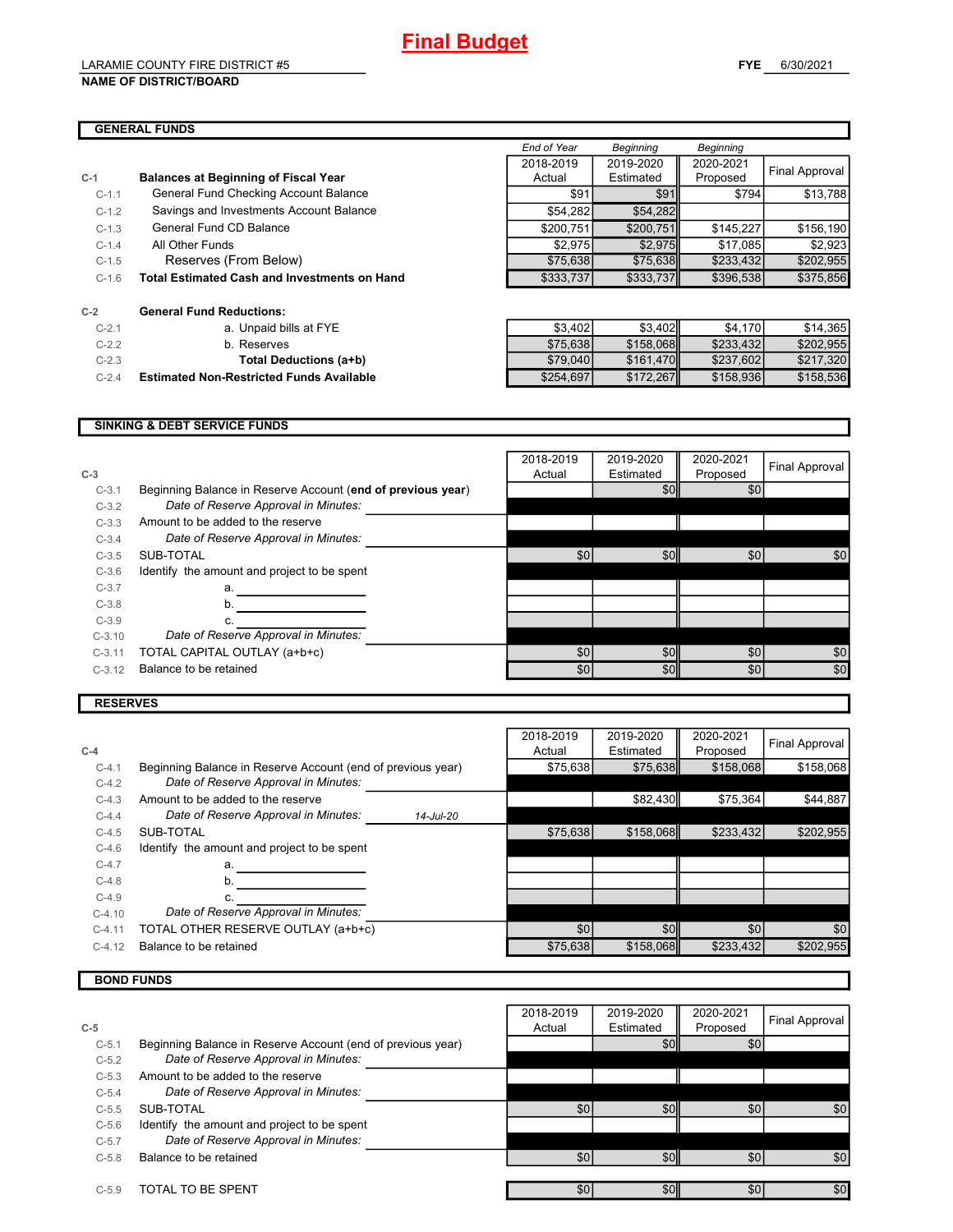### LARAMIE COUNTY FIRE DISTRICT #5

**C-1 Balances at Beginning of Fiscal Year**

**C-2 General Fund Reductions:**

### **GENERAL FUNDS**

| <b>GENERAL FUNDS</b> |                                                     |             |              |                  |                |
|----------------------|-----------------------------------------------------|-------------|--------------|------------------|----------------|
|                      |                                                     | End of Year | Beginning    | <b>Beginning</b> |                |
|                      |                                                     | 2018-2019   | 2019-2020    | 2020-2021        | Final Approval |
|                      | <b>Balances at Beginning of Fiscal Year</b>         | Actual      | Estimated    | Proposed         |                |
| $C-1.1$              | General Fund Checking Account Balance               | \$91        | <b>\$911</b> | \$794            | \$13,788       |
| $C-1.2$              | Savings and Investments Account Balance             | \$54,282    | \$54,282     |                  |                |
| $C-1.3$              | General Fund CD Balance                             | \$200.751   | \$200.751    | \$145.227        | \$156,190      |
| $C-1.4$              | All Other Funds                                     | \$2.975     | \$2.975      | \$17.085         | \$2,923        |
| $C-1.5$              | Reserves (From Below)                               | \$75,638    | \$75.638     | \$233,432        | \$202,955      |
| $C-1.6$              | <b>Total Estimated Cash and Investments on Hand</b> | \$333,737   | \$333,737    | \$396,538        | \$375,856      |

| $C-2.1$ | a. Unpaid bills at FYE                          | \$3,402   | \$3.402 <b>1</b> | \$4,170   | \$14.365  |
|---------|-------------------------------------------------|-----------|------------------|-----------|-----------|
| $C-2.2$ | b. Reserves                                     | \$75.638  | \$158.068        | \$233.432 | \$202,955 |
| $C-2.3$ | Total Deductions (a+b)                          | \$79,040  | \$161.470        | \$237.602 | \$217,320 |
| $C-2.4$ | <b>Estimated Non-Restricted Funds Available</b> | \$254,697 | \$172.267        | \$158.936 | \$158,536 |

#### **SINKING & DEBT SERVICE FUNDS**

| $C-3$    |                                                             | 2018-2019<br>Actual | 2019-2020<br>Estimated | 2020-2021<br>Proposed | Final Approval |
|----------|-------------------------------------------------------------|---------------------|------------------------|-----------------------|----------------|
| $C-3.1$  | Beginning Balance in Reserve Account (end of previous year) |                     | \$0                    | \$0                   |                |
| $C-3.2$  | Date of Reserve Approval in Minutes:                        |                     |                        |                       |                |
| $C-3.3$  | Amount to be added to the reserve                           |                     |                        |                       |                |
| $C-3.4$  | Date of Reserve Approval in Minutes:                        |                     |                        |                       |                |
| $C-3.5$  | SUB-TOTAL                                                   | \$0                 | \$0                    | \$0                   | \$0            |
| $C-3.6$  | Identify the amount and project to be spent                 |                     |                        |                       |                |
| $C-3.7$  | a.                                                          |                     |                        |                       |                |
| $C-3.8$  | b.                                                          |                     |                        |                       |                |
| $C-3.9$  |                                                             |                     |                        |                       |                |
| $C-3.10$ | Date of Reserve Approval in Minutes:                        |                     |                        |                       |                |
| $C-3.11$ | TOTAL CAPITAL OUTLAY (a+b+c)                                | \$0                 | \$0                    | \$0                   | \$0            |
| $C-3.12$ | Balance to be retained                                      | \$0                 | \$0                    | \$0                   | \$0            |
|          |                                                             |                     |                        |                       |                |

### **RESERVES**

| $C-4$    |                                                             |           | 2018-2019<br>Actual | 2019-2020<br>Estimated | 2020-2021<br>Proposed | Final Approval |
|----------|-------------------------------------------------------------|-----------|---------------------|------------------------|-----------------------|----------------|
| $C-4.1$  | Beginning Balance in Reserve Account (end of previous year) |           | \$75,638            | \$75,638               | \$158,068             | \$158,068      |
| $C-4.2$  | Date of Reserve Approval in Minutes:                        |           |                     |                        |                       |                |
| $C-4.3$  | Amount to be added to the reserve                           |           |                     | \$82,430               | \$75,364              | \$44,887       |
| $C-4.4$  | Date of Reserve Approval in Minutes:                        | 14-Jul-20 |                     |                        |                       |                |
| $C-4.5$  | SUB-TOTAL                                                   |           | \$75,638            | \$158.068              | \$233,432             | \$202.955      |
| $C-4.6$  | Identify the amount and project to be spent                 |           |                     |                        |                       |                |
| $C-4.7$  | a.                                                          |           |                     |                        |                       |                |
| $C-4.8$  | b.                                                          |           |                     |                        |                       |                |
| $C-4.9$  |                                                             |           |                     |                        |                       |                |
| $C-4.10$ | Date of Reserve Approval in Minutes:                        |           |                     |                        |                       |                |
| $C-4.11$ | TOTAL OTHER RESERVE OUTLAY (a+b+c)                          |           | \$0                 | \$0                    | \$0                   | \$0            |
| $C-4.12$ | Balance to be retained                                      |           | \$75,638            | \$158,068              | \$233,432             | \$202.955      |
|          |                                                             |           |                     |                        |                       |                |

### **BOND FUNDS**

|         |                                                             | 2018-2019 | 2019-2020        | 2020-2021 | Final Approval |
|---------|-------------------------------------------------------------|-----------|------------------|-----------|----------------|
| $C-5$   |                                                             | Actual    | Estimated        | Proposed  |                |
| $C-5.1$ | Beginning Balance in Reserve Account (end of previous year) |           | \$0              | \$0       |                |
| $C-5.2$ | Date of Reserve Approval in Minutes:                        |           |                  |           |                |
| $C-5.3$ | Amount to be added to the reserve                           |           |                  |           |                |
| $C-5.4$ | Date of Reserve Approval in Minutes:                        |           |                  |           |                |
| $C-5.5$ | SUB-TOTAL                                                   | \$0       | \$0 <sub>1</sub> | \$0       | \$0            |
| $C-5.6$ | Identify the amount and project to be spent                 |           |                  |           |                |
| $C-5.7$ | Date of Reserve Approval in Minutes:                        |           |                  |           |                |
| $C-5.8$ | Balance to be retained                                      | \$0       | \$0              | \$0       | \$0            |
|         |                                                             |           |                  |           |                |
| $C-5.9$ | TOTAL TO BE SPENT                                           | \$0       | \$0              | \$0       | \$0            |